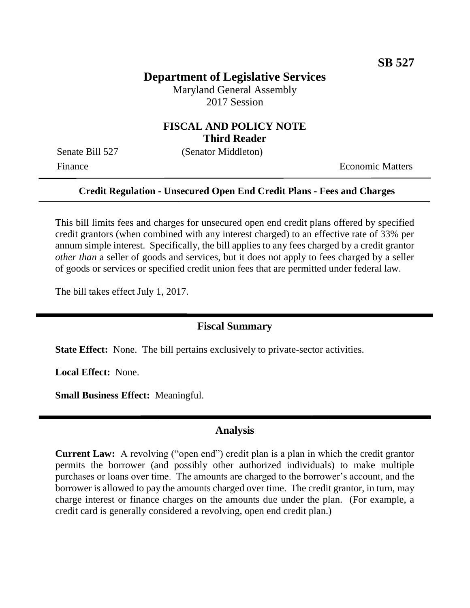## **Department of Legislative Services**

Maryland General Assembly 2017 Session

## **FISCAL AND POLICY NOTE Third Reader**

Senate Bill 527 (Senator Middleton)

Finance **Exercífical Economic Matters** 

#### **Credit Regulation - Unsecured Open End Credit Plans - Fees and Charges**

This bill limits fees and charges for unsecured open end credit plans offered by specified credit grantors (when combined with any interest charged) to an effective rate of 33% per annum simple interest. Specifically, the bill applies to any fees charged by a credit grantor *other than* a seller of goods and services, but it does not apply to fees charged by a seller of goods or services or specified credit union fees that are permitted under federal law.

The bill takes effect July 1, 2017.

## **Fiscal Summary**

**State Effect:** None. The bill pertains exclusively to private-sector activities.

**Local Effect:** None.

**Small Business Effect:** Meaningful.

#### **Analysis**

**Current Law:** A revolving ("open end") credit plan is a plan in which the credit grantor permits the borrower (and possibly other authorized individuals) to make multiple purchases or loans over time. The amounts are charged to the borrower's account, and the borrower is allowed to pay the amounts charged over time. The credit grantor, in turn, may charge interest or finance charges on the amounts due under the plan. (For example, a credit card is generally considered a revolving, open end credit plan.)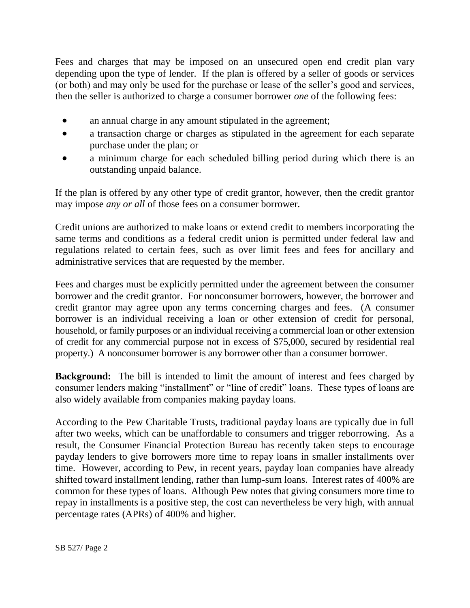Fees and charges that may be imposed on an unsecured open end credit plan vary depending upon the type of lender. If the plan is offered by a seller of goods or services (or both) and may only be used for the purchase or lease of the seller's good and services, then the seller is authorized to charge a consumer borrower *one* of the following fees:

- an annual charge in any amount stipulated in the agreement;
- a transaction charge or charges as stipulated in the agreement for each separate purchase under the plan; or
- a minimum charge for each scheduled billing period during which there is an outstanding unpaid balance.

If the plan is offered by any other type of credit grantor, however, then the credit grantor may impose *any or all* of those fees on a consumer borrower.

Credit unions are authorized to make loans or extend credit to members incorporating the same terms and conditions as a federal credit union is permitted under federal law and regulations related to certain fees, such as over limit fees and fees for ancillary and administrative services that are requested by the member.

Fees and charges must be explicitly permitted under the agreement between the consumer borrower and the credit grantor. For nonconsumer borrowers, however, the borrower and credit grantor may agree upon any terms concerning charges and fees. (A consumer borrower is an individual receiving a loan or other extension of credit for personal, household, or family purposes or an individual receiving a commercial loan or other extension of credit for any commercial purpose not in excess of \$75,000, secured by residential real property.) A nonconsumer borrower is any borrower other than a consumer borrower.

**Background:** The bill is intended to limit the amount of interest and fees charged by consumer lenders making "installment" or "line of credit" loans. These types of loans are also widely available from companies making payday loans.

According to the Pew Charitable Trusts, traditional payday loans are typically due in full after two weeks, which can be unaffordable to consumers and trigger reborrowing. As a result, the Consumer Financial Protection Bureau has recently taken steps to encourage payday lenders to give borrowers more time to repay loans in smaller installments over time. However, according to Pew, in recent years, payday loan companies have already shifted toward installment lending, rather than lump-sum loans. Interest rates of 400% are common for these types of loans. Although Pew notes that giving consumers more time to repay in installments is a positive step, the cost can nevertheless be very high, with annual percentage rates (APRs) of 400% and higher.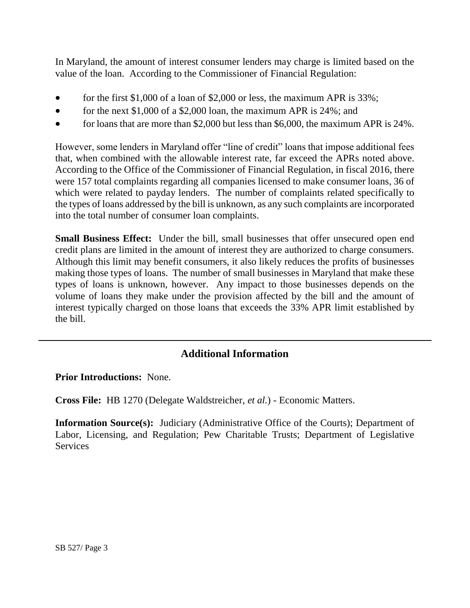In Maryland, the amount of interest consumer lenders may charge is limited based on the value of the loan. According to the Commissioner of Financial Regulation:

- for the first \$1,000 of a loan of \$2,000 or less, the maximum APR is 33%;
- for the next  $$1,000$  of a  $$2,000$  loan, the maximum APR is 24%; and
- for loans that are more than \$2,000 but less than \$6,000, the maximum APR is  $24\%$ .

However, some lenders in Maryland offer "line of credit" loans that impose additional fees that, when combined with the allowable interest rate, far exceed the APRs noted above. According to the Office of the Commissioner of Financial Regulation, in fiscal 2016, there were 157 total complaints regarding all companies licensed to make consumer loans, 36 of which were related to payday lenders. The number of complaints related specifically to the types of loans addressed by the bill is unknown, as any such complaints are incorporated into the total number of consumer loan complaints.

**Small Business Effect:** Under the bill, small businesses that offer unsecured open end credit plans are limited in the amount of interest they are authorized to charge consumers. Although this limit may benefit consumers, it also likely reduces the profits of businesses making those types of loans. The number of small businesses in Maryland that make these types of loans is unknown, however. Any impact to those businesses depends on the volume of loans they make under the provision affected by the bill and the amount of interest typically charged on those loans that exceeds the 33% APR limit established by the bill.

# **Additional Information**

**Prior Introductions:** None.

**Cross File:** HB 1270 (Delegate Waldstreicher, *et al.*) - Economic Matters.

**Information Source(s):** Judiciary (Administrative Office of the Courts); Department of Labor, Licensing, and Regulation; Pew Charitable Trusts; Department of Legislative **Services**